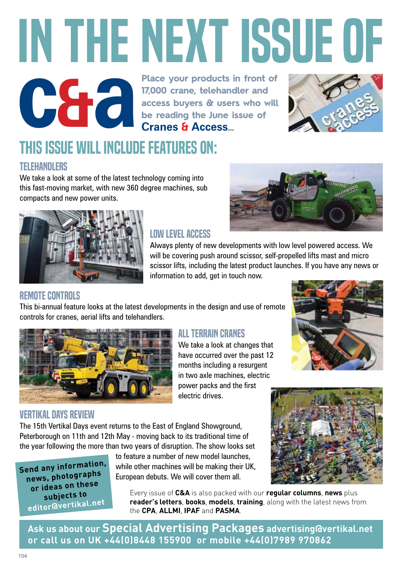# **c&a** IN THE NEXT ISSUE of

**Place your products in front of 17,000 crane, telehandler and access buyers & users who will be reading the June issue of Cranes & Access…**



## This issue will include features on:

### **TELEHANDLERS**

We take a look at some of the latest technology coming into this fast-moving market, with new 360 degree machines, sub compacts and new power units.



## Low Level Access

Always plenty of new developments with low level powered access. We will be covering push around scissor, self-propelled lifts mast and micro scissor lifts, including the latest product launches. If you have any news or information to add, get in touch now.

### Remote Controls

This bi-annual feature looks at the latest developments in the design and use of remote controls for cranes, aerial lifts and telehandlers.



## Vertikal Days Review

The 15th Vertikal Days event returns to the East of England Showground, Peterborough on 11th and 12th May - moving back to its traditional time of the year following the more than two years of disruption. The show looks set

**Send any information, news, photographs or ideas on these subjects to editor@vertikal.ne<sup>t</sup>**

to feature a number of new model launches, while other machines will be making their UK, European debuts. We will cover them all.



Every issue of **C&A** is also packed with our **regular columns**, **news** plus **reader's letters**, **books**, **models**, **training**, along with the latest news from the **CPA**, **ALLMI**, **IPAF** and **PASMA**.

**Ask us about our Special Advertising Packages advertising@vertikal.net or call us on UK +44(0)8448 155900 or mobile +44(0)7989 970862**